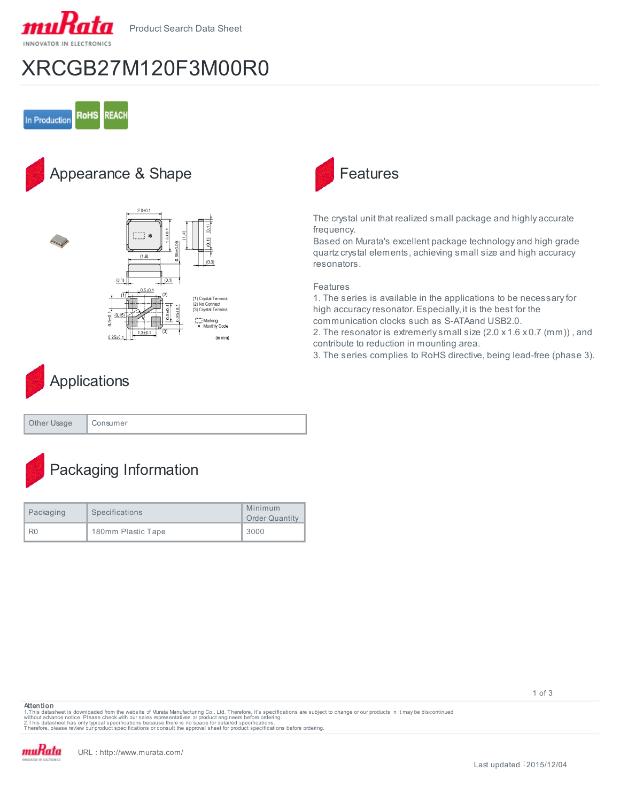

Product Search Data Sheet

# XRCGB27M120F3M00R0



## Appearance & Shape





The crystal unit that realized small package and highly accurate frequency.

Based on Murata's excellent package technology and high grade quartz crystal elements, achieving small size and high accuracy resonators.

### Features

1. The series is available in the applications to be necessary for high accuracy resonator. Especially, it is the best for the communication clocks such as S-ATA and USB2.0.

2. The resonator is extremerly small size (2.0 x 1.6 x 0.7 (mm)) , and contribute to reduction in mounting area.

3. The series complies to RoHS directive, being lead-free (phase 3).

# **Applications**

| Other Usage | onsumer: |
|-------------|----------|
|-------------|----------|

# Packaging Information

| Packaging      | Specifications     | Minimum<br><b>Order Quantity</b> |
|----------------|--------------------|----------------------------------|
| R <sub>0</sub> | 180mm Plastic Tape | 3000                             |

#### **Attention**

1.This datasheet is downloaded from the website of Murata Manufacturing Co., Ltd. Therefore, it's specifications are subject to change or our products in it may be discontinued<br>without advaneet has only typical specificati

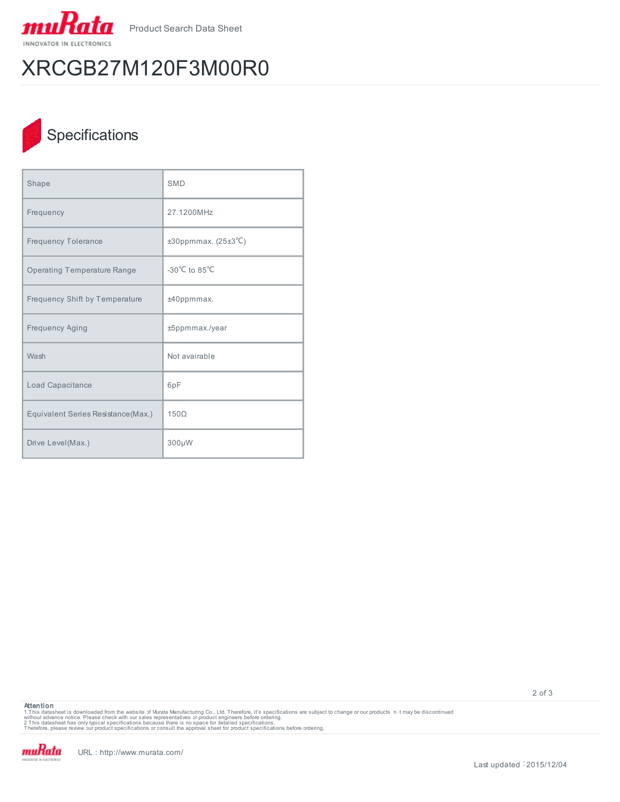

Product Search Data Sheet

# XRCGB27M120F3M00R0

## **Specifications**

| Shape                               | <b>SMD</b>                 |
|-------------------------------------|----------------------------|
| Frequency                           | 27.1200MHz                 |
| <b>Frequency Tolerance</b>          | $±30$ ppmmax. (25 $±3$ °C) |
| <b>Operating Temperature Range</b>  | -30°C to 85°C              |
| Frequency Shift by Temperature      | ±40ppmmax.                 |
| Frequency Aging                     | ±5ppmmax./year             |
| Wash                                | Not avairable              |
| Load Capacitance                    | 6pF                        |
| Equivalent Series Resistance (Max.) | $150\Omega$                |
| Drive Level(Max.)                   | 300µW                      |

**Attention**

1.This datasheet is downloaded from the website of Murata Manufacturing Co., Ltd. Therefore, it's specifications are subject to change or our products in it may be discontinued<br>without advaneet has only typical specificati